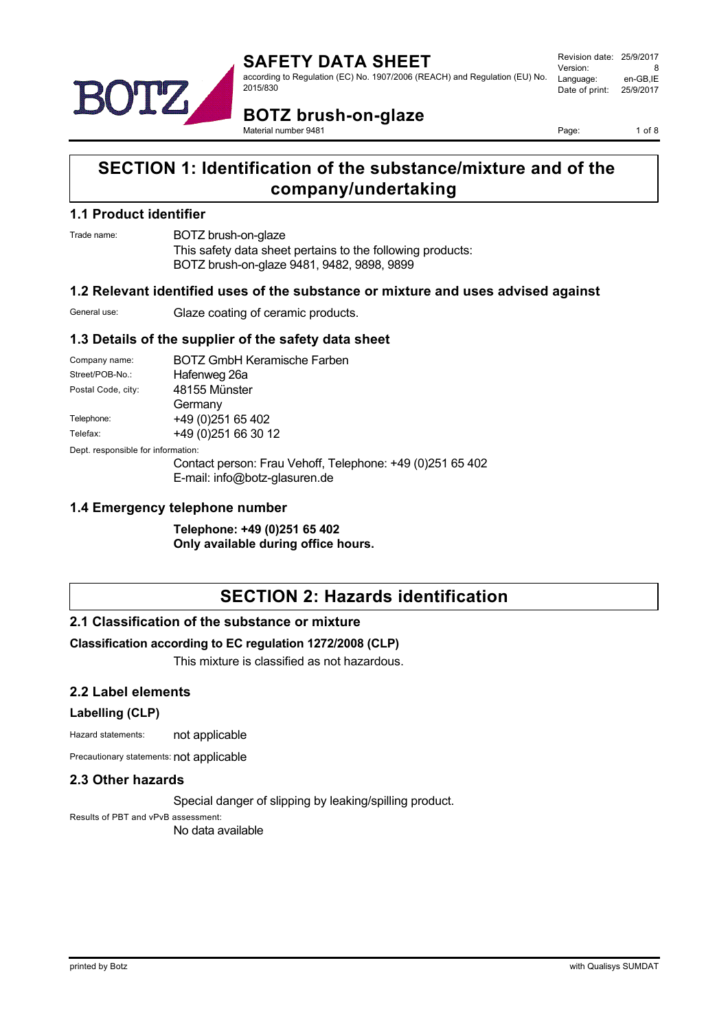

Revision date: 25/9/2017 Version: 8<br>Language: en-GB IE Language: Date of print: 25/9/2017

**BOTZ brush-on-glaze** Material number 9481

Page: 1 of 8

## **SECTION 1: Identification of the substance/mixture and of the company/undertaking**

#### **1.1 Product identifier**

Trade name: BOTZ brush-on-glaze

This safety data sheet pertains to the following products: BOTZ brush-on-glaze 9481, 9482, 9898, 9899

### **1.2 Relevant identified uses of the substance or mixture and uses advised against**

General use: Glaze coating of ceramic products.

### **1.3 Details of the supplier of the safety data sheet**

| Company name:                      | <b>BOTZ GmbH Keramische Farben</b>                        |
|------------------------------------|-----------------------------------------------------------|
| Street/POB-No.:                    | Hafenweg 26a                                              |
| Postal Code, city:                 | 48155 Münster                                             |
|                                    | Germany                                                   |
| Telephone:                         | +49 (0) 251 65 402                                        |
| Telefax:                           | +49 (0) 251 66 30 12                                      |
| Dept. responsible for information: |                                                           |
|                                    | Contact person: Frau Vehoff, Telephone: +49 (0)251 65 402 |

E-mail: info@botz-glasuren.de

#### **1.4 Emergency telephone number**

**Telephone: +49 (0)251 65 402 Only available during office hours.**

## **SECTION 2: Hazards identification**

### **2.1 Classification of the substance or mixture**

#### **Classification according to EC regulation 1272/2008 (CLP)**

This mixture is classified as not hazardous.

#### **2.2 Label elements**

#### **Labelling (CLP)**

Hazard statements: not applicable

Precautionary statements: not applicable

#### **2.3 Other hazards**

Special danger of slipping by leaking/spilling product.

Results of PBT and vPvB assessment: No data available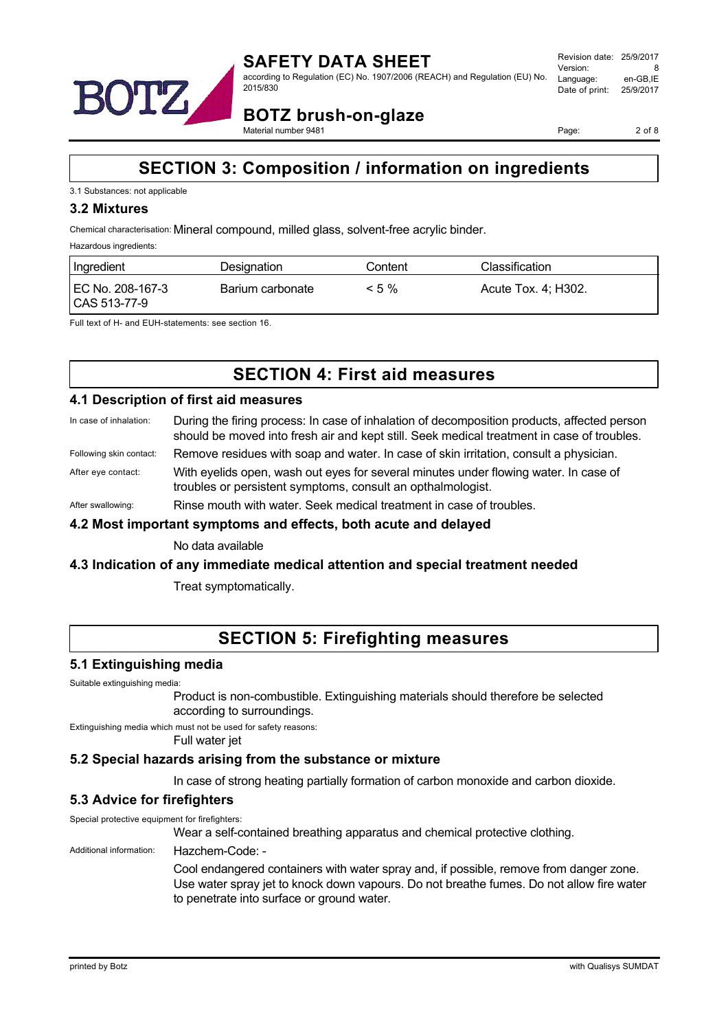

**BOTZ brush-on-glaze** Material number 9481

Page: 2 of 8

## **SECTION 3: Composition / information on ingredients**

#### 3.1 Substances: not applicable

#### **3.2 Mixtures**

Chemical characterisation: Mineral compound, milled glass, solvent-free acrylic binder.

Hazardous ingredients:

| Ingredient                       | Designation      | Content  | Classification      |
|----------------------------------|------------------|----------|---------------------|
| EC No. 208-167-3<br>CAS 513-77-9 | Barium carbonate | $< 5 \%$ | Acute Tox. 4; H302. |

Full text of H- and EUH-statements: see section 16.

## **SECTION 4: First aid measures**

#### **4.1 Description of first aid measures**

- In case of inhalation: During the firing process: In case of inhalation of decomposition products, affected person should be moved into fresh air and kept still. Seek medical treatment in case of troubles.
- Following skin contact: Remove residues with soap and water. In case of skin irritation, consult a physician.

After eye contact: With eyelids open, wash out eyes for several minutes under flowing water. In case of troubles or persistent symptoms, consult an opthalmologist.

After swallowing: Rinse mouth with water. Seek medical treatment in case of troubles.

#### **4.2 Most important symptoms and effects, both acute and delayed**

No data available

#### **4.3 Indication of any immediate medical attention and special treatment needed**

Treat symptomatically.

## **SECTION 5: Firefighting measures**

#### **5.1 Extinguishing media**

Suitable extinguishing media:

Product is non-combustible. Extinguishing materials should therefore be selected according to surroundings.

Extinguishing media which must not be used for safety reasons:

Full water jet

#### **5.2 Special hazards arising from the substance or mixture**

In case of strong heating partially formation of carbon monoxide and carbon dioxide.

### **5.3 Advice for firefighters**

Special protective equipment for firefighters:

Wear a self-contained breathing apparatus and chemical protective clothing.

#### Additional information: Hazchem-Code: -

Cool endangered containers with water spray and, if possible, remove from danger zone. Use water spray jet to knock down vapours. Do not breathe fumes. Do not allow fire water to penetrate into surface or ground water.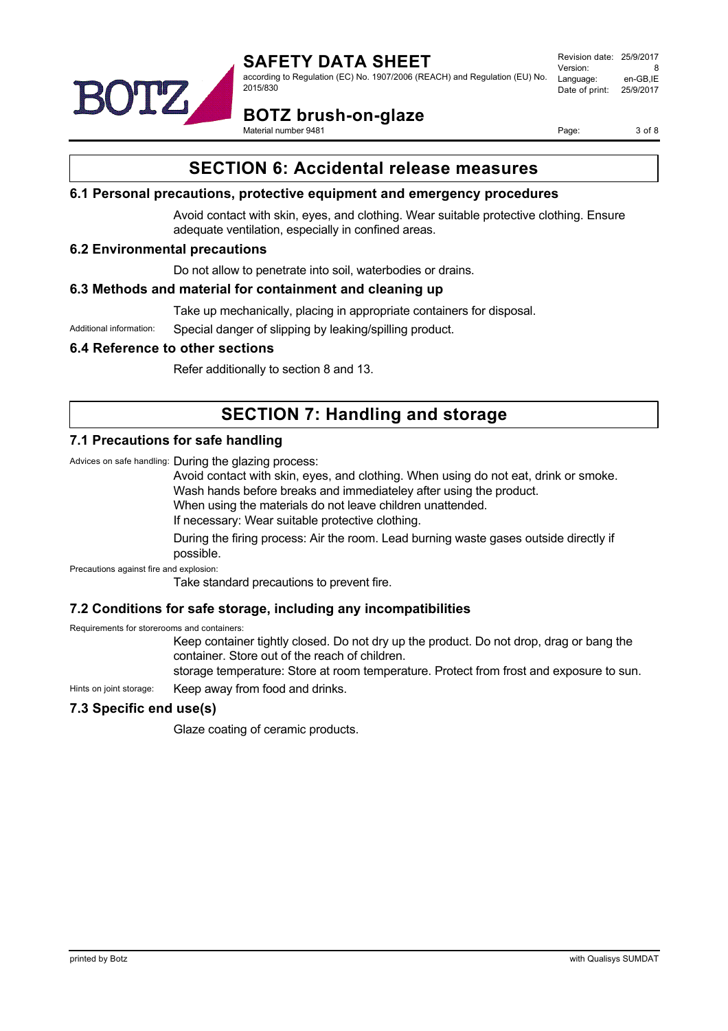

Revision date: 25/9/2017 Version: 8<br>Language: en-GB IE Language: Date of print: 25/9/2017



**BOTZ brush-on-glaze**

Material number 9481

Page: 3 of 8

## **SECTION 6: Accidental release measures**

#### **6.1 Personal precautions, protective equipment and emergency procedures**

Avoid contact with skin, eyes, and clothing. Wear suitable protective clothing. Ensure adequate ventilation, especially in confined areas.

#### **6.2 Environmental precautions**

Do not allow to penetrate into soil, waterbodies or drains.

#### **6.3 Methods and material for containment and cleaning up**

Take up mechanically, placing in appropriate containers for disposal.

Additional information: Special danger of slipping by leaking/spilling product.

#### **6.4 Reference to other sections**

Refer additionally to section 8 and 13.

# **SECTION 7: Handling and storage**

#### **7.1 Precautions for safe handling**

Advices on safe handling: During the glazing process:

Avoid contact with skin, eyes, and clothing. When using do not eat, drink or smoke.

Wash hands before breaks and immediateley after using the product.

When using the materials do not leave children unattended.

If necessary: Wear suitable protective clothing.

During the firing process: Air the room. Lead burning waste gases outside directly if possible.

Precautions against fire and explosion:

Take standard precautions to prevent fire.

### **7.2 Conditions for safe storage, including any incompatibilities**

Requirements for storerooms and containers:

Keep container tightly closed. Do not dry up the product. Do not drop, drag or bang the container. Store out of the reach of children.

storage temperature: Store at room temperature. Protect from frost and exposure to sun.

Hints on joint storage: Keep away from food and drinks.

### **7.3 Specific end use(s)**

Glaze coating of ceramic products.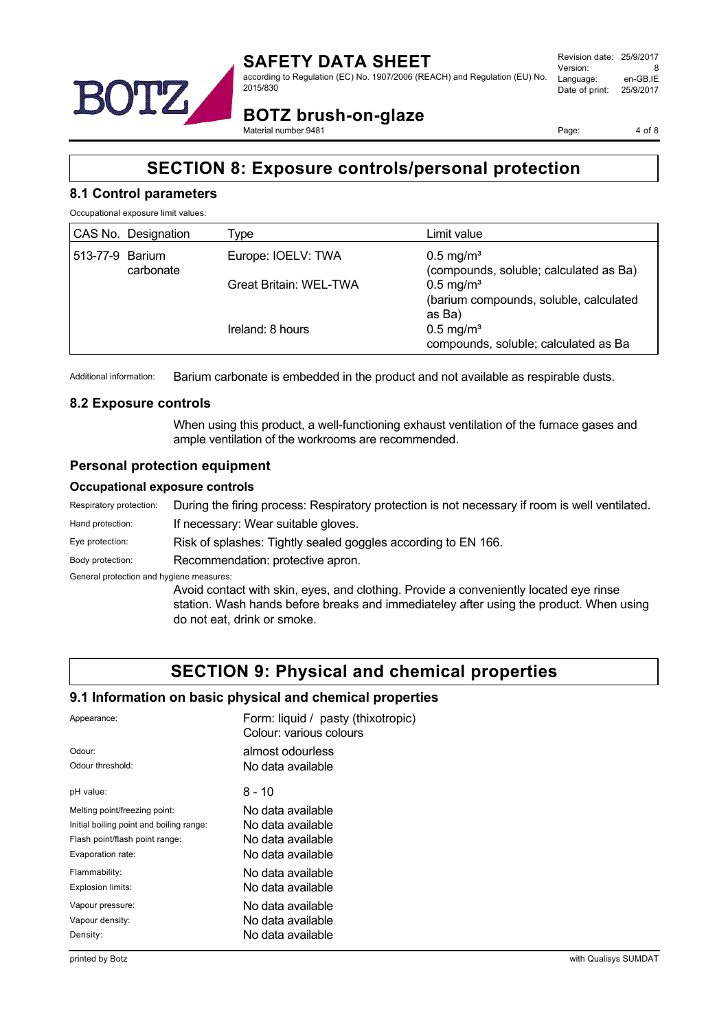

Revision date: 25/9/2017 Version: 8<br>Language: en-GB.IE Language: Date of print: 25/9/2017

**BOTZ brush-on-glaze** Material number 9481

Page: 4 of 8

# **SECTION 8: Exposure controls/personal protection**

#### **8.1 Control parameters**

Occupational exposure limit values:

|                 | CAS No. Designation | Type                          | Limit value                                                              |
|-----------------|---------------------|-------------------------------|--------------------------------------------------------------------------|
| 513-77-9 Barium | carbonate           | Europe: IOELV: TWA            | $0.5$ mg/m <sup>3</sup><br>(compounds, soluble; calculated as Ba)        |
|                 |                     | <b>Great Britain: WEL-TWA</b> | $0.5 \text{ mg/m}^3$<br>(barium compounds, soluble, calculated<br>as Ba) |
|                 |                     | Ireland: 8 hours              | $0.5$ mg/m <sup>3</sup><br>compounds, soluble; calculated as Ba          |

Additional information: Barium carbonate is embedded in the product and not available as respirable dusts.

#### **8.2 Exposure controls**

When using this product, a well-functioning exhaust ventilation of the furnace gases and ample ventilation of the workrooms are recommended.

#### **Personal protection equipment**

#### **Occupational exposure controls**

| Respiratory protection:                  | During the firing process: Respiratory protection is not necessary if room is well ventilated.                                                                                                                 |  |
|------------------------------------------|----------------------------------------------------------------------------------------------------------------------------------------------------------------------------------------------------------------|--|
| Hand protection:                         | If necessary: Wear suitable gloves.                                                                                                                                                                            |  |
| Eye protection:                          | Risk of splashes: Tightly sealed goggles according to EN 166.                                                                                                                                                  |  |
| Body protection:                         | Recommendation: protective apron.                                                                                                                                                                              |  |
| General protection and hygiene measures: |                                                                                                                                                                                                                |  |
|                                          | Avoid contact with skin, eyes, and clothing. Provide a conveniently located eye rinse<br>station. Wash hands before breaks and immediateley after using the product. When using<br>do not eat, drink or smoke. |  |

### **SECTION 9: Physical and chemical properties**

#### **9.1 Information on basic physical and chemical properties**

| Appearance:                              | Form: liquid / pasty (thixotropic)<br>Colour: various colours |
|------------------------------------------|---------------------------------------------------------------|
| Odour:                                   | almost odourless                                              |
| Odour threshold:                         | No data available                                             |
| pH value:                                | 8 - 10                                                        |
| Melting point/freezing point:            | No data available                                             |
| Initial boiling point and boiling range: | No data available                                             |
| Flash point/flash point range:           | No data available                                             |
| Evaporation rate:                        | No data available                                             |
| Flammability:                            | No data available                                             |
| Explosion limits:                        | No data available                                             |
| Vapour pressure:                         | No data available                                             |
| Vapour density:                          | No data available                                             |
| Density:                                 | No data available                                             |
|                                          |                                                               |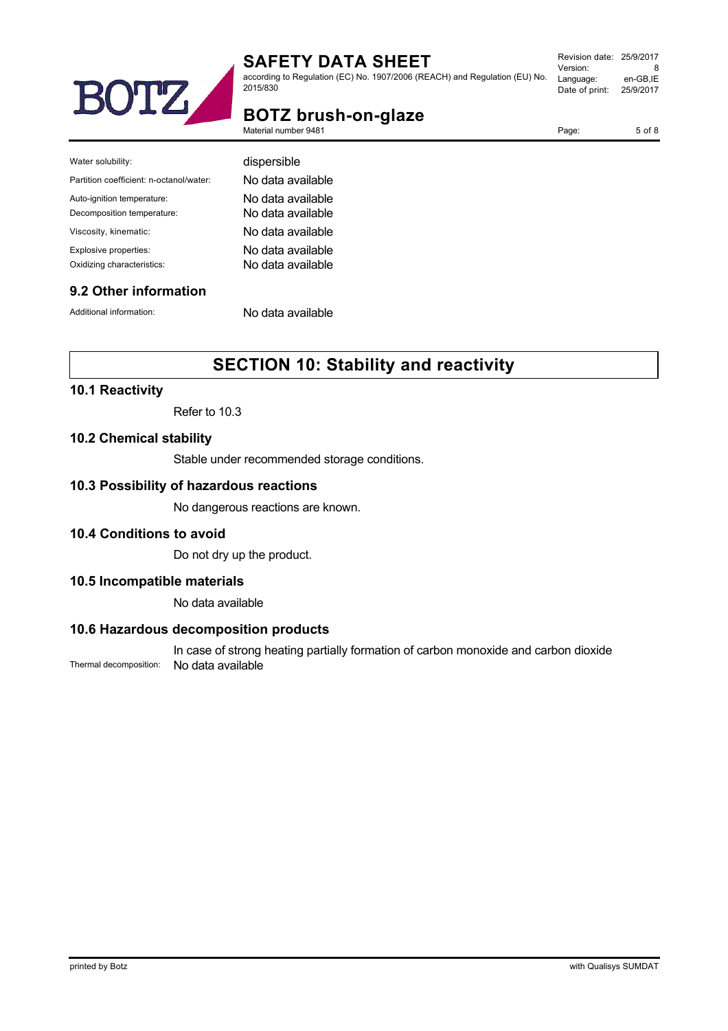

according to Regulation (EC) No. 1907/2006 (REACH) and Regulation (EU) No. 2015/830

| Revision date: 25/9/2017 |           |
|--------------------------|-----------|
| Version:                 | 8         |
| Language:                | en-GB.IE  |
| Date of print:           | 25/9/2017 |
|                          |           |

Page: 5 of 8

# **BOTZ brush-on-glaze**

Material number 9481

Water solubility:

Auto-ignition temperature: Decomposition temperature: Viscosity, kinematic:

Partition coefficient: n-octanol/water:

| dispersible       |  |
|-------------------|--|
| No data available |  |
| No data available |  |
| No data available |  |
| No data available |  |

# **9.2 Other information**

Additional information: No data available

## **SECTION 10: Stability and reactivity**

#### **10.1 Reactivity**

Refer to 10.3

Explosive properties: No data available Oxidizing characteristics: No data available

#### **10.2 Chemical stability**

Stable under recommended storage conditions.

#### **10.3 Possibility of hazardous reactions**

No dangerous reactions are known.

#### **10.4 Conditions to avoid**

Do not dry up the product.

#### **10.5 Incompatible materials**

No data available

#### **10.6 Hazardous decomposition products**

In case of strong heating partially formation of carbon monoxide and carbon dioxide Thermal decomposition: No data available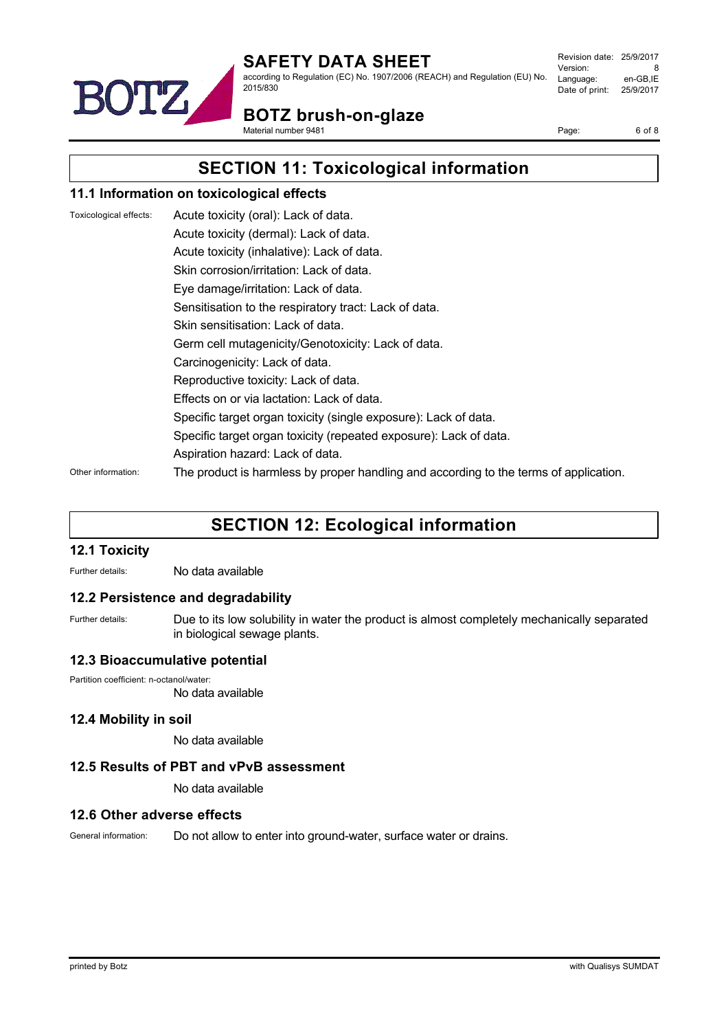

according to Regulation (EC) No. 1907/2006 (REACH) and Regulation (EU) No. 2015/830

Revision date: 25/9/2017 Version: 8<br>Language: en-GB.IE Language: Date of print: 25/9/2017

**BOTZ brush-on-glaze**

Material number 9481

Page: 6 of 8

**SECTION 11: Toxicological information**

### **11.1 Information on toxicological effects**

| Toxicological effects: | Acute toxicity (oral): Lack of data.                                                  |
|------------------------|---------------------------------------------------------------------------------------|
|                        | Acute toxicity (dermal): Lack of data.                                                |
|                        | Acute toxicity (inhalative): Lack of data.                                            |
|                        | Skin corrosion/irritation: Lack of data.                                              |
|                        | Eye damage/irritation: Lack of data.                                                  |
|                        | Sensitisation to the respiratory tract: Lack of data.                                 |
|                        | Skin sensitisation: Lack of data.                                                     |
|                        | Germ cell mutagenicity/Genotoxicity: Lack of data.                                    |
|                        | Carcinogenicity: Lack of data.                                                        |
|                        | Reproductive toxicity: Lack of data.                                                  |
|                        | Effects on or via lactation: Lack of data.                                            |
|                        | Specific target organ toxicity (single exposure): Lack of data.                       |
|                        | Specific target organ toxicity (repeated exposure): Lack of data.                     |
|                        | Aspiration hazard: Lack of data.                                                      |
| Other information:     | The product is harmless by proper handling and according to the terms of application. |

## **SECTION 12: Ecological information**

#### **12.1 Toxicity**

Further details: No data available

#### **12.2 Persistence and degradability**

Further details: Due to its low solubility in water the product is almost completely mechanically separated in biological sewage plants.

#### **12.3 Bioaccumulative potential**

Partition coefficient: n-octanol/water:

No data available

#### **12.4 Mobility in soil**

No data available

#### **12.5 Results of PBT and vPvB assessment**

No data available

#### **12.6 Other adverse effects**

General information: Do not allow to enter into ground-water, surface water or drains.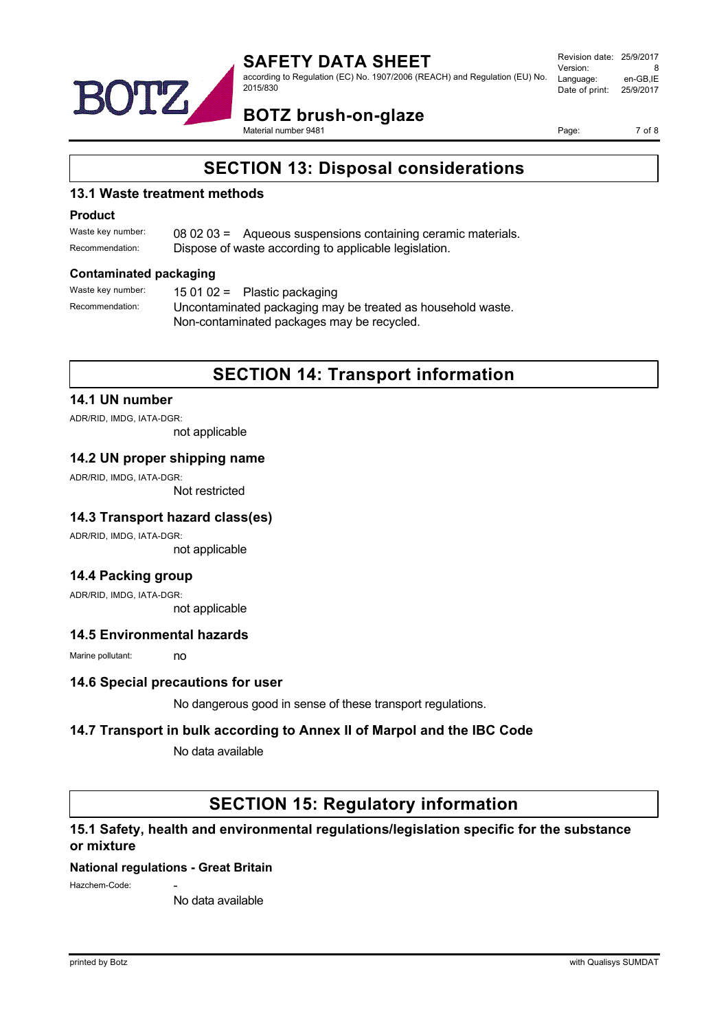

according to Regulation (EC) No. 1907/2006 (REACH) and Regulation (EU) No. 2015/830

Revision date: 25/9/2017 Version: 8<br>Language: en-GB.IE Language: Date of print: 25/9/2017

# **BOTZ brush-on-glaze**

Material number 9481

Page: 7 of 8

## **SECTION 13: Disposal considerations**

#### **13.1 Waste treatment methods**

#### **Product**

| Waste key number: | 08 02 03 = Aqueous suspensions containing ceramic materials. |
|-------------------|--------------------------------------------------------------|
| Recommendation:   | Dispose of waste according to applicable legislation.        |

#### **Contaminated packaging**

| Waste key number: | 15 01 02 = Plastic packaging                                |  |  |
|-------------------|-------------------------------------------------------------|--|--|
| Recommendation:   | Uncontaminated packaging may be treated as household waste. |  |  |
|                   | Non-contaminated packages may be recycled.                  |  |  |

## **SECTION 14: Transport information**

#### **14.1 UN number**

ADR/RID, IMDG, IATA-DGR:

not applicable

#### **14.2 UN proper shipping name**

ADR/RID, IMDG, IATA-DGR:

Not restricted

### **14.3 Transport hazard class(es)**

ADR/RID, IMDG, IATA-DGR: not applicable

### **14.4 Packing group**

ADR/RID, IMDG, IATA-DGR: not applicable

#### **14.5 Environmental hazards**

Marine pollutant: no

#### **14.6 Special precautions for user**

No dangerous good in sense of these transport regulations.

### **14.7 Transport in bulk according to Annex II of Marpol and the IBC Code**

No data available

### **SECTION 15: Regulatory information**

### **15.1 Safety, health and environmental regulations/legislation specific for the substance or mixture**

### **National regulations - Great Britain**

Hazchem-Code:

No data available